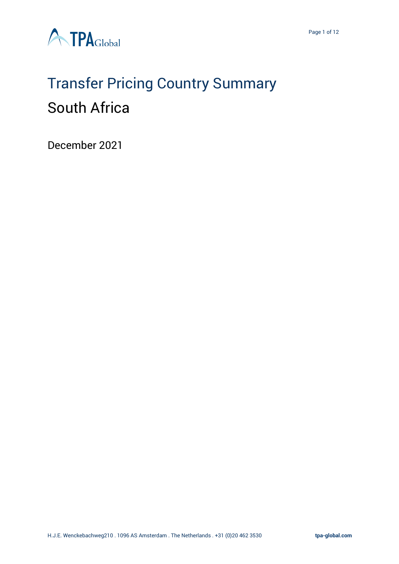

# Transfer Pricing Country Summary South Africa

December 2021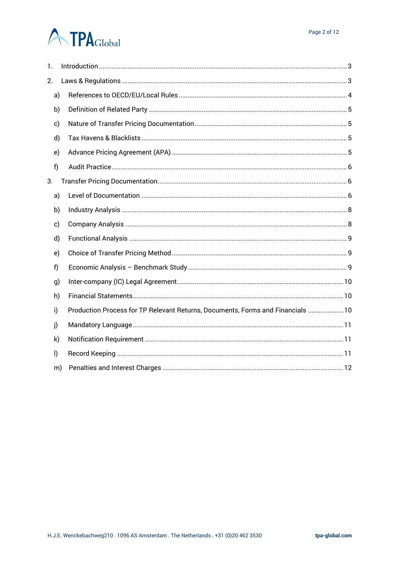# **A TPA**Global

| 1.           |    |                                                                                 |
|--------------|----|---------------------------------------------------------------------------------|
| 2.           |    |                                                                                 |
| a)           |    |                                                                                 |
| b)           |    |                                                                                 |
| c)           |    |                                                                                 |
| d)           |    |                                                                                 |
| e)           |    |                                                                                 |
| f)           |    |                                                                                 |
| 3.           |    |                                                                                 |
| a)           |    |                                                                                 |
| b)           |    |                                                                                 |
| c)           |    |                                                                                 |
| d)           |    |                                                                                 |
| e)           |    |                                                                                 |
| f)           |    |                                                                                 |
| g)           |    |                                                                                 |
| h)           |    |                                                                                 |
| i)           |    | Production Process for TP Relevant Returns, Documents, Forms and Financials  10 |
| j)           |    |                                                                                 |
| k)           |    |                                                                                 |
| $\mathsf{I}$ |    |                                                                                 |
|              | m) |                                                                                 |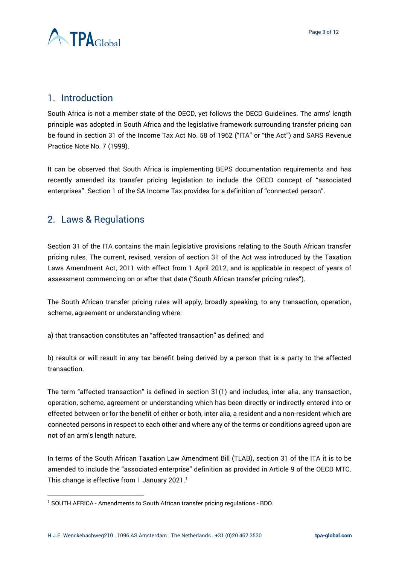

# <span id="page-2-0"></span>1. Introduction

South Africa is not a member state of the OECD, yet follows the OECD Guidelines. The arms' length principle was adopted in South Africa and the legislative framework surrounding transfer pricing can be found in section 31 of the Income Tax Act No. 58 of 1962 ("ITA" or "the Act") and SARS Revenue Practice Note No. 7 (1999).

It can be observed that South Africa is implementing BEPS documentation requirements and has recently amended its transfer pricing legislation to include the OECD concept of "associated enterprises". Section 1 of the SA Income Tax provides for a definition of "connected person".

# <span id="page-2-1"></span>2. Laws & Regulations

Section 31 of the ITA contains the main legislative provisions relating to the South African transfer pricing rules. The current, revised, version of section 31 of the Act was introduced by the Taxation Laws Amendment Act, 2011 with effect from 1 April 2012, and is applicable in respect of years of assessment commencing on or after that date ("South African transfer pricing rules").

The South African transfer pricing rules will apply, broadly speaking, to any transaction, operation, scheme, agreement or understanding where:

a) that transaction constitutes an "affected transaction" as defined; and

b) results or will result in any tax benefit being derived by a person that is a party to the affected transaction.

The term "affected transaction" is defined in section 31(1) and includes, inter alia, any transaction, operation, scheme, agreement or understanding which has been directly or indirectly entered into or effected between or for the benefit of either or both, inter alia, a resident and a non-resident which are connected persons in respect to each other and where any of the terms or conditions agreed upon are not of an arm's length nature.

In terms of the South African Taxation Law Amendment Bill (TLAB), section 31 of the ITA it is to be amended to include the "associated enterprise" definition as provided in Article 9 of the OECD MTC. This change is effective from 1 January 2021.<sup>1</sup>

<sup>&</sup>lt;sup>1</sup> SOUTH AFRICA - [Amendments to South African transfer pricing regulations -](https://www.bdo.global/en-gb/microsites/tax-newsletters/transfer-pricing-news/issue-32-december-2019/south-africa-%C2%A0amendments-to-south-african-transfer-pricing-regulations) BDO.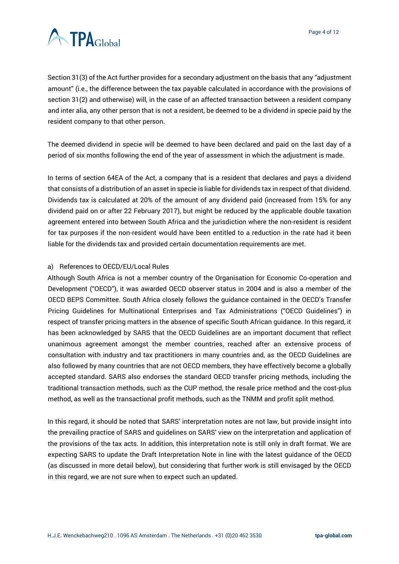

Section 31(3) of the Act further provides for a secondary adjustment on the basis that any "adjustment amount" (i.e., the difference between the tax payable calculated in accordance with the provisions of section 31(2) and otherwise) will, in the case of an affected transaction between a resident company and inter alia, any other person that is not a resident, be deemed to be a dividend in specie paid by the resident company to that other person.

The deemed dividend in specie will be deemed to have been declared and paid on the last day of a period of six months following the end of the year of assessment in which the adjustment is made.

In terms of section 64EA of the Act, a company that is a resident that declares and pays a dividend that consists of a distribution of an asset in specie is liable for dividends tax in respect of that dividend. Dividends tax is calculated at 20% of the amount of any dividend paid (increased from 15% for any dividend paid on or after 22 February 2017), but might be reduced by the applicable double taxation agreement entered into between South Africa and the jurisdiction where the non-resident is resident for tax purposes if the non-resident would have been entitled to a reduction in the rate had it been liable for the dividends tax and provided certain documentation requirements are met.

#### <span id="page-3-0"></span>a) References to OECD/EU/Local Rules

Although South Africa is not a member country of the Organisation for Economic Co-operation and Development ("OECD"), it was awarded OECD observer status in 2004 and is also a member of the OECD BEPS Committee. South Africa closely follows the guidance contained in the OECD's Transfer Pricing Guidelines for Multinational Enterprises and Tax Administrations ("OECD Guidelines") in respect of transfer pricing matters in the absence of specific South African guidance. In this regard, it has been acknowledged by SARS that the OECD Guidelines are an important document that reflect unanimous agreement amongst the member countries, reached after an extensive process of consultation with industry and tax practitioners in many countries and, as the OECD Guidelines are also followed by many countries that are not OECD members, they have effectively become a globally accepted standard. SARS also endorses the standard OECD transfer pricing methods, including the traditional transaction methods, such as the CUP method, the resale price method and the cost-plus method, as well as the transactional profit methods, such as the TNMM and profit split method.

In this regard, it should be noted that SARS' interpretation notes are not law, but provide insight into the prevailing practice of SARS and guidelines on SARS' view on the interpretation and application of the provisions of the tax acts. In addition, this interpretation note is still only in draft format. We are expecting SARS to update the Draft Interpretation Note in line with the latest guidance of the OECD (as discussed in more detail below), but considering that further work is still envisaged by the OECD in this regard, we are not sure when to expect such an updated.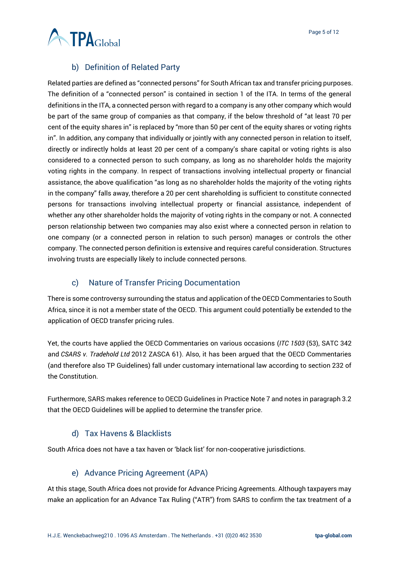

#### b) Definition of Related Party

<span id="page-4-0"></span>Related parties are defined as "connected persons" for South African tax and transfer pricing purposes. The definition of a "connected person" is contained in section 1 of the ITA. In terms of the general definitions in the ITA, a connected person with regard to a company is any other company which would be part of the same group of companies as that company, if the below threshold of "at least 70 per cent of the equity shares in" is replaced by "more than 50 per cent of the equity shares or voting rights in". In addition, any company that individually or jointly with any connected person in relation to itself, directly or indirectly holds at least 20 per cent of a company's share capital or voting rights is also considered to a connected person to such company, as long as no shareholder holds the majority voting rights in the company. In respect of transactions involving intellectual property or financial assistance, the above qualification "as long as no shareholder holds the majority of the voting rights in the company" falls away, therefore a 20 per cent shareholding is sufficient to constitute connected persons for transactions involving intellectual property or financial assistance, independent of whether any other shareholder holds the majority of voting rights in the company or not. A connected person relationship between two companies may also exist where a connected person in relation to one company (or a connected person in relation to such person) manages or controls the other company. The connected person definition is extensive and requires careful consideration. Structures involving trusts are especially likely to include connected persons.

#### c) Nature of Transfer Pricing Documentation

<span id="page-4-1"></span>There is some controversy surrounding the status and application of the OECD Commentaries to South Africa, since it is not a member state of the OECD. This argument could potentially be extended to the application of OECD transfer pricing rules.

Yet, the courts have applied the OECD Commentaries on various occasions (*ITC 1503* (53), SATC 342 and *CSARS v. Tradehold Ltd* 2012 ZASCA 61). Also, it has been argued that the OECD Commentaries (and therefore also TP Guidelines) fall under customary international law according to section 232 of the Constitution.

Furthermore, SARS makes reference to OECD Guidelines in Practice Note 7 and notes in paragraph 3.2 that the OECD Guidelines will be applied to determine the transfer price.

#### d) Tax Havens & Blacklists

<span id="page-4-2"></span>South Africa does not have a tax haven or 'black list' for non-cooperative jurisdictions.

#### e) Advance Pricing Agreement (APA)

<span id="page-4-3"></span>At this stage, South Africa does not provide for Advance Pricing Agreements. Although taxpayers may make an application for an Advance Tax Ruling ("ATR") from SARS to confirm the tax treatment of a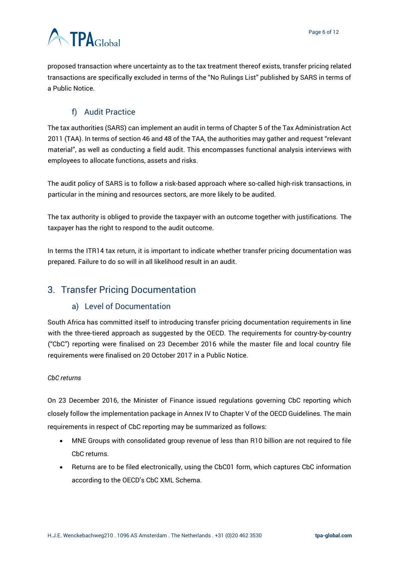# **ATPA**Global

proposed transaction where uncertainty as to the tax treatment thereof exists, transfer pricing related transactions are specifically excluded in terms of the "No Rulings List" published by SARS in terms of a Public Notice.

# f) Audit Practice

<span id="page-5-0"></span>The tax authorities (SARS) can implement an audit in terms of Chapter 5 of the Tax Administration Act 2011 (TAA). In terms of section 46 and 48 of the TAA, the authorities may gather and request "relevant material", as well as conducting a field audit. This encompasses functional analysis interviews with employees to allocate functions, assets and risks.

The audit policy of SARS is to follow a risk-based approach where so-called high-risk transactions, in particular in the mining and resources sectors, are more likely to be audited.

The tax authority is obliged to provide the taxpayer with an outcome together with justifications. The taxpayer has the right to respond to the audit outcome.

In terms the ITR14 tax return, it is important to indicate whether transfer pricing documentation was prepared. Failure to do so will in all likelihood result in an audit.

# <span id="page-5-2"></span><span id="page-5-1"></span>3. Transfer Pricing Documentation

#### a) Level of Documentation

South Africa has committed itself to introducing transfer pricing documentation requirements in line with the three-tiered approach as suggested by the OECD. The requirements for country-by-country ("CbC") reporting were finalised on 23 December 2016 while the master file and local country file requirements were finalised on 20 October 2017 in a Public Notice.

#### *CbC returns*

On 23 December 2016, the Minister of Finance issued regulations governing CbC reporting which closely follow the implementation package in Annex IV to Chapter V of the OECD Guidelines. The main requirements in respect of CbC reporting may be summarized as follows:

- MNE Groups with consolidated group revenue of less than R10 billion are not required to file CbC returns.
- Returns are to be filed electronically, using the CbC01 form, which captures CbC information according to the OECD's CbC XML Schema.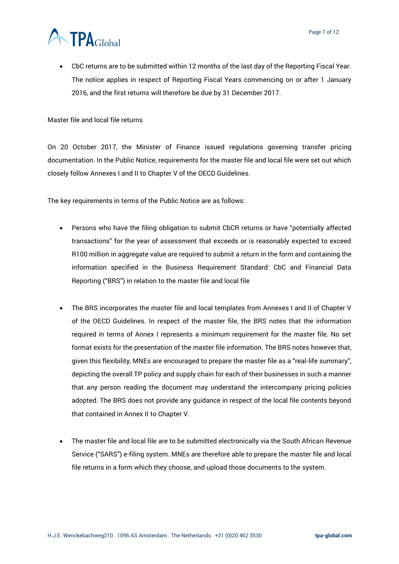

• CbC returns are to be submitted within 12 months of the last day of the Reporting Fiscal Year. The notice applies in respect of Reporting Fiscal Years commencing on or after 1 January 2016, and the first returns will therefore be due by 31 December 2017.

Master file and local file returns

On 20 October 2017, the Minister of Finance issued regulations governing transfer pricing documentation. In the Public Notice, requirements for the master file and local file were set out which closely follow Annexes I and II to Chapter V of the OECD Guidelines.

The key requirements in terms of the Public Notice are as follows:

- Persons who have the filing obligation to submit CbCR returns or have "potentially affected transactions" for the year of assessment that exceeds or is reasonably expected to exceed R100 million in aggregate value are required to submit a return in the form and containing the information specified in the Business Requirement Standard: CbC and Financial Data Reporting ("BRS") in relation to the master file and local file
- The BRS incorporates the master file and local templates from Annexes I and II of Chapter V of the OECD Guidelines. In respect of the master file, the BRS notes that the information required in terms of Annex I represents a minimum requirement for the master file. No set format exists for the presentation of the master file information. The BRS notes however that, given this flexibility, MNEs are encouraged to prepare the master file as a "real-life summary", depicting the overall TP policy and supply chain for each of their businesses in such a manner that any person reading the document may understand the intercompany pricing policies adopted. The BRS does not provide any guidance in respect of the local file contents beyond that contained in Annex II to Chapter V.
- The master file and local file are to be submitted electronically via the South African Revenue Service ("SARS") e-filing system. MNEs are therefore able to prepare the master file and local file returns in a form which they choose, and upload those documents to the system.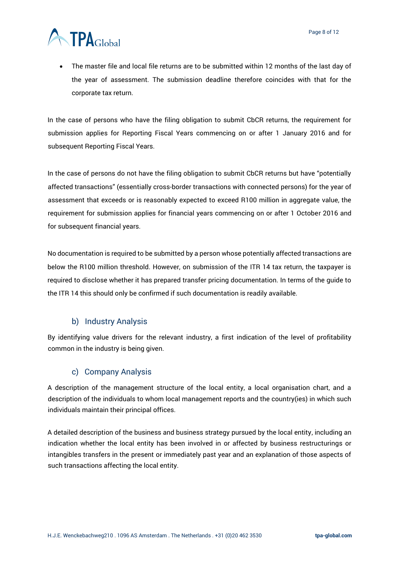

• The master file and local file returns are to be submitted within 12 months of the last day of the year of assessment. The submission deadline therefore coincides with that for the corporate tax return.

In the case of persons who have the filing obligation to submit CbCR returns, the requirement for submission applies for Reporting Fiscal Years commencing on or after 1 January 2016 and for subsequent Reporting Fiscal Years.

In the case of persons do not have the filing obligation to submit CbCR returns but have "potentially affected transactions" (essentially cross-border transactions with connected persons) for the year of assessment that exceeds or is reasonably expected to exceed R100 million in aggregate value, the requirement for submission applies for financial years commencing on or after 1 October 2016 and for subsequent financial years.

No documentation is required to be submitted by a person whose potentially affected transactions are below the R100 million threshold. However, on submission of the ITR 14 tax return, the taxpayer is required to disclose whether it has prepared transfer pricing documentation. In terms of the guide to the ITR 14 this should only be confirmed if such documentation is readily available.

#### b) Industry Analysis

<span id="page-7-0"></span>By identifying value drivers for the relevant industry, a first indication of the level of profitability common in the industry is being given.

#### c) Company Analysis

<span id="page-7-1"></span>A description of the management structure of the local entity, a local organisation chart, and a description of the individuals to whom local management reports and the country(ies) in which such individuals maintain their principal offices.

A detailed description of the business and business strategy pursued by the local entity, including an indication whether the local entity has been involved in or affected by business restructurings or intangibles transfers in the present or immediately past year and an explanation of those aspects of such transactions affecting the local entity.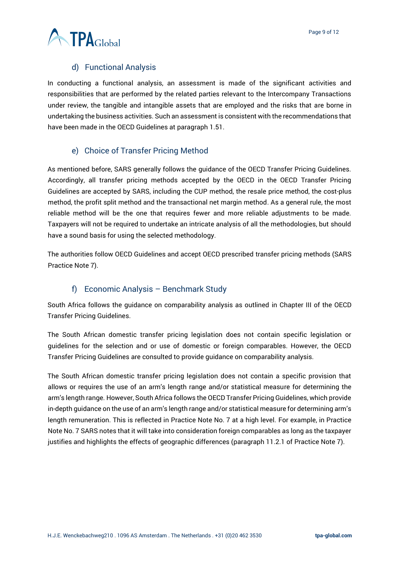

#### d) Functional Analysis

<span id="page-8-0"></span>In conducting a functional analysis, an assessment is made of the significant activities and responsibilities that are performed by the related parties relevant to the Intercompany Transactions under review, the tangible and intangible assets that are employed and the risks that are borne in undertaking the business activities. Such an assessment is consistent with the recommendations that have been made in the OECD Guidelines at paragraph 1.51.

#### e) Choice of Transfer Pricing Method

<span id="page-8-1"></span>As mentioned before, SARS generally follows the guidance of the OECD Transfer Pricing Guidelines. Accordingly, all transfer pricing methods accepted by the OECD in the OECD Transfer Pricing Guidelines are accepted by SARS, including the CUP method, the resale price method, the cost-plus method, the profit split method and the transactional net margin method. As a general rule, the most reliable method will be the one that requires fewer and more reliable adjustments to be made. Taxpayers will not be required to undertake an intricate analysis of all the methodologies, but should have a sound basis for using the selected methodology.

The authorities follow OECD Guidelines and accept OECD prescribed transfer pricing methods (SARS Practice Note 7).

#### f) Economic Analysis – Benchmark Study

<span id="page-8-2"></span>South Africa follows the guidance on comparability analysis as outlined in Chapter III of the OECD Transfer Pricing Guidelines.

The South African domestic transfer pricing legislation does not contain specific legislation or guidelines for the selection and or use of domestic or foreign comparables. However, the OECD Transfer Pricing Guidelines are consulted to provide guidance on comparability analysis.

The South African domestic transfer pricing legislation does not contain a specific provision that allows or requires the use of an arm's length range and/or statistical measure for determining the arm's length range. However, South Africa follows the OECD Transfer Pricing Guidelines, which provide in-depth guidance on the use of an arm's length range and/or statistical measure for determining arm's length remuneration. This is reflected in Practice Note No. 7 at a high level. For example, in Practice Note No. 7 SARS notes that it will take into consideration foreign comparables as long as the taxpayer justifies and highlights the effects of geographic differences (paragraph 11.2.1 of Practice Note 7).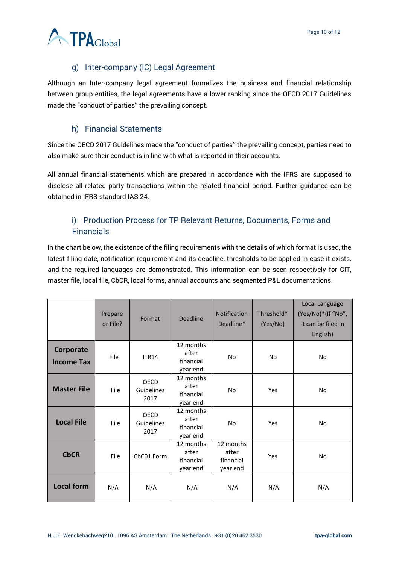

### g) Inter-company (IC) Legal Agreement

<span id="page-9-0"></span>Although an Inter-company legal agreement formalizes the business and financial relationship between group entities, the legal agreements have a lower ranking since the OECD 2017 Guidelines made the "conduct of parties'' the prevailing concept.

#### h) Financial Statements

<span id="page-9-1"></span>Since the OECD 2017 Guidelines made the "conduct of parties'' the prevailing concept, parties need to also make sure their conduct is in line with what is reported in their accounts.

All annual financial statements which are prepared in accordance with the IFRS are supposed to disclose all related party transactions within the related financial period. Further guidance can be obtained in IFRS standard IAS 24.

# <span id="page-9-2"></span>i) Production Process for TP Relevant Returns, Documents, Forms and **Financials**

In the chart below, the existence of the filing requirements with the details of which format is used, the latest filing date, notification requirement and its deadline, thresholds to be applied in case it exists, and the required languages are demonstrated. This information can be seen respectively for CIT, master file, local file, CbCR, local forms, annual accounts and segmented P&L documentations.

|                                | Prepare<br>or File? | Format                            | <b>Deadline</b>                             | <b>Notification</b><br>Deadline*            | Threshold*<br>(Yes/No) | Local Language<br>(Yes/No)*(If "No",<br>it can be filed in<br>English) |
|--------------------------------|---------------------|-----------------------------------|---------------------------------------------|---------------------------------------------|------------------------|------------------------------------------------------------------------|
| Corporate<br><b>Income Tax</b> | File                | <b>ITR14</b>                      | 12 months<br>after<br>financial<br>year end | No                                          | No.                    | <b>No</b>                                                              |
| <b>Master File</b>             | File                | <b>OECD</b><br>Guidelines<br>2017 | 12 months<br>after<br>financial<br>year end | No                                          | Yes                    | <b>No</b>                                                              |
| <b>Local File</b>              | File                | OECD<br>Guidelines<br>2017        | 12 months<br>after<br>financial<br>year end | <b>No</b>                                   | Yes                    | <b>No</b>                                                              |
| <b>CbCR</b>                    | File                | CbC01 Form                        | 12 months<br>after<br>financial<br>year end | 12 months<br>after<br>financial<br>year end | Yes                    | <b>No</b>                                                              |
| <b>Local form</b>              | N/A                 | N/A                               | N/A                                         | N/A                                         | N/A                    | N/A                                                                    |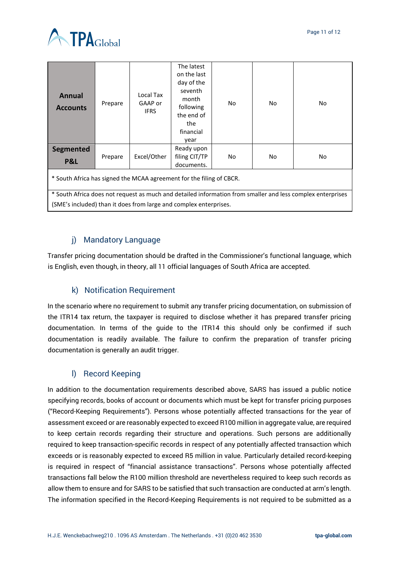

| <b>Annual</b><br><b>Accounts</b>                                                                                                                                                   | Prepare | Local Tax<br>GAAP or<br><b>IFRS</b> | The latest<br>on the last<br>day of the<br>seventh<br>month<br>following<br>the end of<br>the<br>financial<br>year | No | No | No |  |  |  |
|------------------------------------------------------------------------------------------------------------------------------------------------------------------------------------|---------|-------------------------------------|--------------------------------------------------------------------------------------------------------------------|----|----|----|--|--|--|
| <b>Segmented</b><br><b>P&amp;L</b>                                                                                                                                                 | Prepare | Excel/Other                         | Ready upon<br>filing CIT/TP<br>documents.                                                                          | No | No | No |  |  |  |
| * South Africa has signed the MCAA agreement for the filing of CBCR.<br>* South Africa does not request as much and detailed information from smaller and less complex enterprises |         |                                     |                                                                                                                    |    |    |    |  |  |  |
| (SME's included) than it does from large and complex enterprises.                                                                                                                  |         |                                     |                                                                                                                    |    |    |    |  |  |  |

#### j) Mandatory Language

<span id="page-10-0"></span>Transfer pricing documentation should be drafted in the Commissioner's functional language, which is English, even though, in theory, all 11 official languages of South Africa are accepted.

#### k) Notification Requirement

<span id="page-10-1"></span>In the scenario where no requirement to submit any transfer pricing documentation, on submission of the ITR14 tax return, the taxpayer is required to disclose whether it has prepared transfer pricing documentation. In terms of the guide to the ITR14 this should only be confirmed if such documentation is readily available. The failure to confirm the preparation of transfer pricing documentation is generally an audit trigger.

#### l) Record Keeping

<span id="page-10-2"></span>In addition to the documentation requirements described above, SARS has issued a public notice specifying records, books of account or documents which must be kept for transfer pricing purposes ("Record-Keeping Requirements"). Persons whose potentially affected transactions for the year of assessment exceed or are reasonably expected to exceed R100 million in aggregate value, are required to keep certain records regarding their structure and operations. Such persons are additionally required to keep transaction-specific records in respect of any potentially affected transaction which exceeds or is reasonably expected to exceed R5 million in value. Particularly detailed record-keeping is required in respect of "financial assistance transactions". Persons whose potentially affected transactions fall below the R100 million threshold are nevertheless required to keep such records as allow them to ensure and for SARS to be satisfied that such transaction are conducted at arm's length. The information specified in the Record-Keeping Requirements is not required to be submitted as a